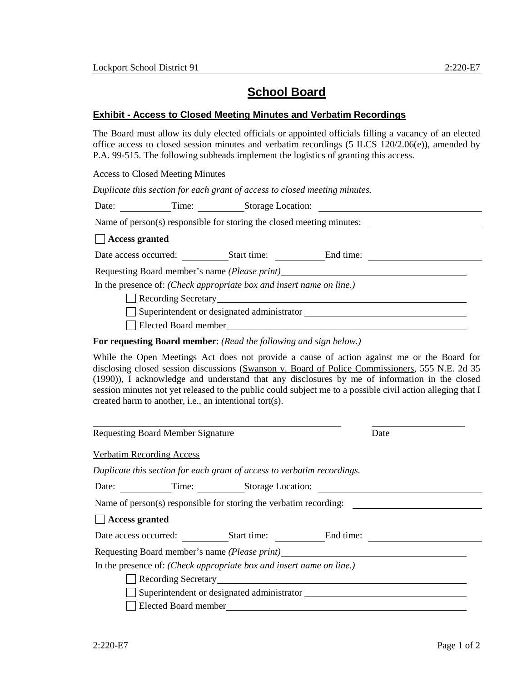## **School Board**

## **Exhibit - Access to Closed Meeting Minutes and Verbatim Recordings**

The Board must allow its duly elected officials or appointed officials filling a vacancy of an elected office access to closed session minutes and verbatim recordings (5 ILCS 120/2.06(e)), amended by P.A. 99-515. The following subheads implement the logistics of granting this access.

Access to Closed Meeting Minutes

*Duplicate this section for each grant of access to closed meeting minutes.*

Date: Time: Storage Location:

Name of person(s) responsible for storing the closed meeting minutes:

## **Access granted**

Date access occurred: Start time: End time:

Requesting Board member's name *(Please print)*

In the presence of: *(Check appropriate box and insert name on line.)*

Recording Secretary

Superintendent or designated administrator

Elected Board member

**For requesting Board member**: *(Read the following and sign below.)*

While the Open Meetings Act does not provide a cause of action against me or the Board for disclosing closed session discussions (Swanson v. Board of Police Commissioners, 555 N.E. 2d 35 (1990)), I acknowledge and understand that any disclosures by me of information in the closed session minutes not yet released to the public could subject me to a possible civil action alleging that I created harm to another, i.e., an intentional tort(s).

| <b>Requesting Board Member Signature</b>    |                      |                                                                         |  | Date |
|---------------------------------------------|----------------------|-------------------------------------------------------------------------|--|------|
| <b>Verbatim Recording Access</b>            |                      |                                                                         |  |      |
|                                             |                      | Duplicate this section for each grant of access to verbatim recordings. |  |      |
| Time: Storage Location:<br>Date:            |                      |                                                                         |  |      |
|                                             |                      | Name of person(s) responsible for storing the verbatim recording:       |  |      |
| <b>Access granted</b>                       |                      |                                                                         |  |      |
| Date access occurred: Start time: End time: |                      |                                                                         |  |      |
|                                             |                      | Requesting Board member's name <i>(Please print)</i>                    |  |      |
|                                             |                      | In the presence of: (Check appropriate box and insert name on line.)    |  |      |
|                                             |                      | Recording Secretary Manual According Secretary                          |  |      |
|                                             |                      | Superintendent or designated administrator                              |  |      |
|                                             | Elected Board member |                                                                         |  |      |